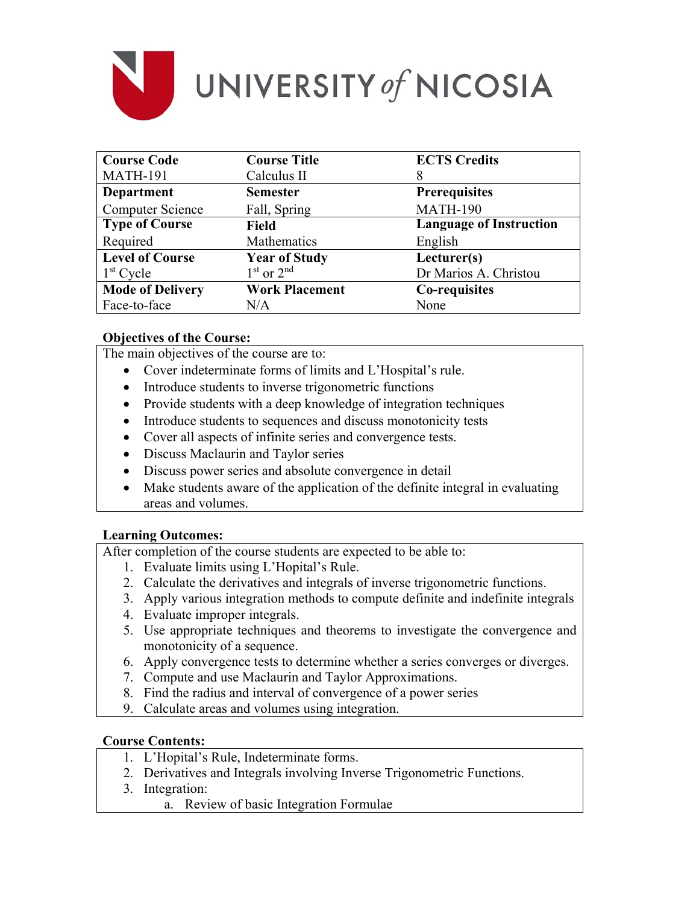

# UNIVERSITY of NICOSIA

| <b>Course Code</b>      | <b>Course Title</b>   | <b>ECTS Credits</b>            |
|-------------------------|-----------------------|--------------------------------|
| <b>MATH-191</b>         | Calculus II           | 8                              |
| <b>Department</b>       | <b>Semester</b>       | <b>Prerequisites</b>           |
| <b>Computer Science</b> | Fall, Spring          | <b>MATH-190</b>                |
| <b>Type of Course</b>   | <b>Field</b>          | <b>Language of Instruction</b> |
| Required                | Mathematics           | English                        |
| <b>Level of Course</b>  | <b>Year of Study</b>  | Lecturer(s)                    |
| $1st$ Cycle             | $1st$ or $2nd$        | Dr Marios A. Christou          |
| <b>Mode of Delivery</b> | <b>Work Placement</b> | Co-requisites                  |
| Face-to-face            | N/A                   | None                           |

## **Objectives of the Course:**

The main objectives of the course are to:

- Cover indeterminate forms of limits and L'Hospital's rule.
- Introduce students to inverse trigonometric functions
- Provide students with a deep knowledge of integration techniques
- Introduce students to sequences and discuss monotonicity tests
- Cover all aspects of infinite series and convergence tests.
- Discuss Maclaurin and Taylor series
- Discuss power series and absolute convergence in detail
- Make students aware of the application of the definite integral in evaluating areas and volumes.

## **Learning Outcomes:**

After completion of the course students are expected to be able to:

- 1. Evaluate limits using L'Hopital's Rule.
- 2. Calculate the derivatives and integrals of inverse trigonometric functions.
- 3. Apply various integration methods to compute definite and indefinite integrals
- 4. Evaluate improper integrals.
- 5. Use appropriate techniques and theorems to investigate the convergence and monotonicity of a sequence.
- 6. Apply convergence tests to determine whether a series converges or diverges.
- 7. Compute and use Maclaurin and Taylor Approximations.
- 8. Find the radius and interval of convergence of a power series
- 9. Calculate areas and volumes using integration.

### **Course Contents:**

- 1. L'Hopital's Rule, Indeterminate forms.
- 2. Derivatives and Integrals involving Inverse Trigonometric Functions.
- 3. Integration:
	- a. Review of basic Integration Formulae